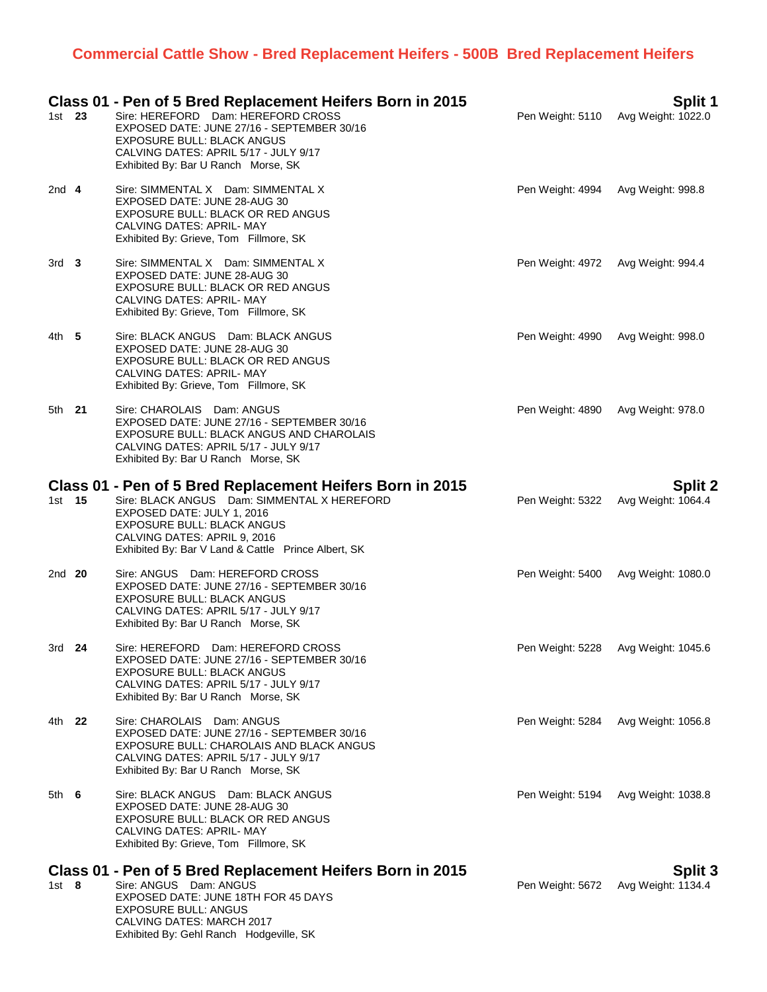## **Commercial Cattle Show - Bred Replacement Heifers - 500B Bred Replacement Heifers**

| 1st 23           | Class 01 - Pen of 5 Bred Replacement Heifers Born in 2015<br>Sire: HEREFORD Dam: HEREFORD CROSS<br>EXPOSED DATE: JUNE 27/16 - SEPTEMBER 30/16<br><b>EXPOSURE BULL: BLACK ANGUS</b><br>CALVING DATES: APRIL 5/17 - JULY 9/17<br>Exhibited By: Bar U Ranch Morse, SK | Pen Weight: 5110 | Split 1<br>Avg Weight: 1022.0        |
|------------------|--------------------------------------------------------------------------------------------------------------------------------------------------------------------------------------------------------------------------------------------------------------------|------------------|--------------------------------------|
| 2nd $4$          | Sire: SIMMENTAL X Dam: SIMMENTAL X<br>EXPOSED DATE: JUNE 28-AUG 30<br>EXPOSURE BULL: BLACK OR RED ANGUS<br>CALVING DATES: APRIL- MAY<br>Exhibited By: Grieve, Tom Fillmore, SK                                                                                     | Pen Weight: 4994 | Avg Weight: 998.8                    |
| 3rd <sub>3</sub> | Sire: SIMMENTAL X Dam: SIMMENTAL X<br>EXPOSED DATE: JUNE 28-AUG 30<br>EXPOSURE BULL: BLACK OR RED ANGUS<br>CALVING DATES: APRIL- MAY<br>Exhibited By: Grieve, Tom Fillmore, SK                                                                                     | Pen Weight: 4972 | Avg Weight: 994.4                    |
| 4th 5            | Sire: BLACK ANGUS Dam: BLACK ANGUS<br>EXPOSED DATE: JUNE 28-AUG 30<br><b>EXPOSURE BULL: BLACK OR RED ANGUS</b><br>CALVING DATES: APRIL- MAY<br>Exhibited By: Grieve, Tom Fillmore, SK                                                                              | Pen Weight: 4990 | Avg Weight: 998.0                    |
| 5th <b>21</b>    | Sire: CHAROLAIS Dam: ANGUS<br>EXPOSED DATE: JUNE 27/16 - SEPTEMBER 30/16<br>EXPOSURE BULL: BLACK ANGUS AND CHAROLAIS<br>CALVING DATES: APRIL 5/17 - JULY 9/17<br>Exhibited By: Bar U Ranch Morse, SK                                                               | Pen Weight: 4890 | Avg Weight: 978.0                    |
| 1st 15           | Class 01 - Pen of 5 Bred Replacement Heifers Born in 2015<br>Sire: BLACK ANGUS Dam: SIMMENTAL X HEREFORD<br>EXPOSED DATE: JULY 1, 2016<br><b>EXPOSURE BULL: BLACK ANGUS</b><br>CALVING DATES: APRIL 9, 2016<br>Exhibited By: Bar V Land & Cattle Prince Albert, SK | Pen Weight: 5322 | <b>Split 2</b><br>Avg Weight: 1064.4 |
| 2nd <b>20</b>    | Sire: ANGUS Dam: HEREFORD CROSS<br>EXPOSED DATE: JUNE 27/16 - SEPTEMBER 30/16<br><b>EXPOSURE BULL: BLACK ANGUS</b><br>CALVING DATES: APRIL 5/17 - JULY 9/17<br>Exhibited By: Bar U Ranch Morse, SK                                                                 | Pen Weight: 5400 | Avg Weight: 1080.0                   |
| 3rd 24           | Sire: HEREFORD Dam: HEREFORD CROSS<br>EXPOSED DATE: JUNE 27/16 - SEPTEMBER 30/16<br>EXPOSURE BULL: BLACK ANGUS<br>CALVING DATES: APRIL 5/17 - JULY 9/17<br>Exhibited By: Bar U Ranch Morse, SK                                                                     |                  | Pen Weight: 5228 Avg Weight: 1045.6  |
| 4th <b>22</b>    | Sire: CHAROLAIS Dam: ANGUS<br>EXPOSED DATE: JUNE 27/16 - SEPTEMBER 30/16<br>EXPOSURE BULL: CHAROLAIS AND BLACK ANGUS<br>CALVING DATES: APRIL 5/17 - JULY 9/17<br>Exhibited By: Bar U Ranch Morse, SK                                                               | Pen Weight: 5284 | Avg Weight: 1056.8                   |
| 5th $6$          | Sire: BLACK ANGUS Dam: BLACK ANGUS<br>EXPOSED DATE: JUNE 28-AUG 30<br>EXPOSURE BULL: BLACK OR RED ANGUS<br>CALVING DATES: APRIL- MAY<br>Exhibited By: Grieve, Tom Fillmore, SK                                                                                     | Pen Weight: 5194 | Avg Weight: 1038.8                   |
| $1st$ 8          | Class 01 - Pen of 5 Bred Replacement Heifers Born in 2015<br>Sire: ANGUS Dam: ANGUS<br>EXPOSED DATE: JUNE 18TH FOR 45 DAYS<br><b>EXPOSURE BULL: ANGUS</b><br>CALVING DATES: MARCH 2017                                                                             | Pen Weight: 5672 | <b>Split 3</b><br>Avg Weight: 1134.4 |

Exhibited By: Gehl Ranch Hodgeville, SK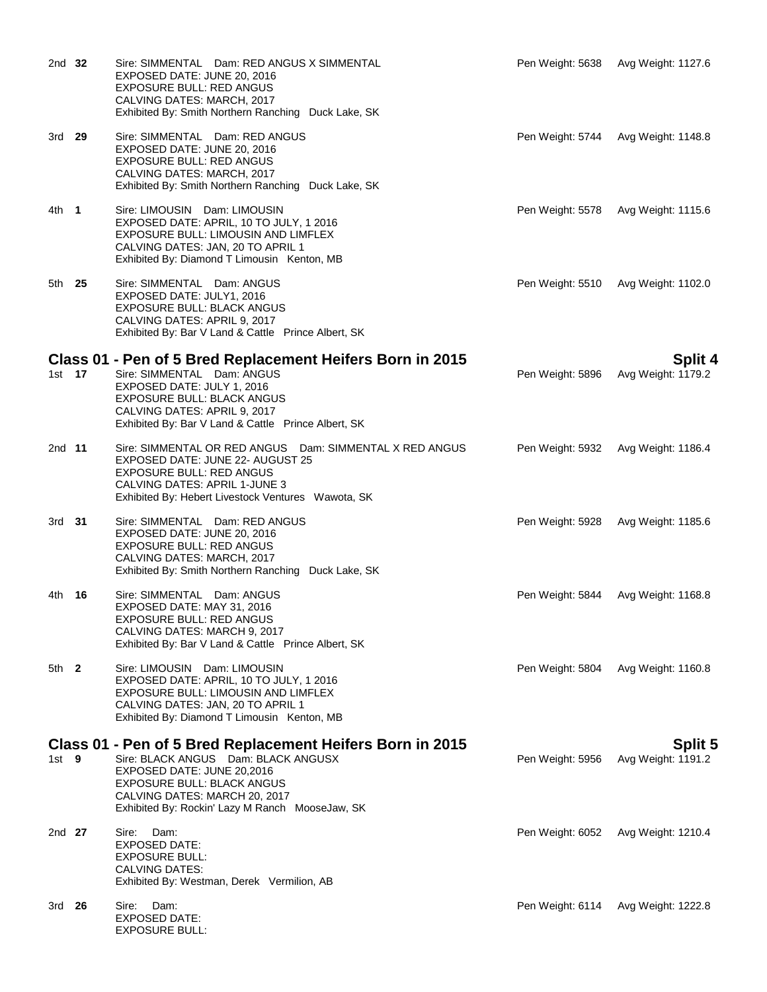| 2nd 32        | Sire: SIMMENTAL Dam: RED ANGUS X SIMMENTAL<br>EXPOSED DATE: JUNE 20, 2016<br><b>EXPOSURE BULL: RED ANGUS</b><br>CALVING DATES: MARCH, 2017<br>Exhibited By: Smith Northern Ranching Duck Lake, SK                                                       | Pen Weight: 5638 | Avg Weight: 1127.6                   |
|---------------|---------------------------------------------------------------------------------------------------------------------------------------------------------------------------------------------------------------------------------------------------------|------------------|--------------------------------------|
| 3rd 29        | Sire: SIMMENTAL Dam: RED ANGUS<br>EXPOSED DATE: JUNE 20, 2016<br><b>EXPOSURE BULL: RED ANGUS</b><br>CALVING DATES: MARCH, 2017<br>Exhibited By: Smith Northern Ranching Duck Lake, SK                                                                   | Pen Weight: 5744 | Avg Weight: 1148.8                   |
| 4th 1         | Sire: LIMOUSIN Dam: LIMOUSIN<br>EXPOSED DATE: APRIL, 10 TO JULY, 1 2016<br>EXPOSURE BULL: LIMOUSIN AND LIMFLEX<br>CALVING DATES: JAN, 20 TO APRIL 1<br>Exhibited By: Diamond T Limousin Kenton, MB                                                      | Pen Weight: 5578 | Avg Weight: 1115.6                   |
| 5th <b>25</b> | Sire: SIMMENTAL Dam: ANGUS<br>EXPOSED DATE: JULY1, 2016<br><b>EXPOSURE BULL: BLACK ANGUS</b><br>CALVING DATES: APRIL 9, 2017<br>Exhibited By: Bar V Land & Cattle Prince Albert, SK                                                                     | Pen Weight: 5510 | Avg Weight: 1102.0                   |
| 1st 17        | Class 01 - Pen of 5 Bred Replacement Heifers Born in 2015<br>Sire: SIMMENTAL Dam: ANGUS<br>EXPOSED DATE: JULY 1, 2016<br><b>EXPOSURE BULL: BLACK ANGUS</b><br>CALVING DATES: APRIL 9, 2017<br>Exhibited By: Bar V Land & Cattle Prince Albert, SK       | Pen Weight: 5896 | Split 4<br>Avg Weight: 1179.2        |
| 2nd <b>11</b> | Sire: SIMMENTAL OR RED ANGUS Dam: SIMMENTAL X RED ANGUS<br>EXPOSED DATE: JUNE 22- AUGUST 25<br><b>EXPOSURE BULL: RED ANGUS</b><br>CALVING DATES: APRIL 1-JUNE 3<br>Exhibited By: Hebert Livestock Ventures Wawota, SK                                   | Pen Weight: 5932 | Avg Weight: 1186.4                   |
| 3rd 31        | Sire: SIMMENTAL Dam: RED ANGUS<br>EXPOSED DATE: JUNE 20, 2016<br><b>EXPOSURE BULL: RED ANGUS</b><br>CALVING DATES: MARCH, 2017<br>Exhibited By: Smith Northern Ranching Duck Lake, SK                                                                   | Pen Weight: 5928 | Avg Weight: 1185.6                   |
| 4th <b>16</b> | Sire: SIMMENTAL Dam: ANGUS<br>EXPOSED DATE: MAY 31, 2016<br><b>EXPOSURE BULL: RED ANGUS</b><br>CALVING DATES: MARCH 9, 2017<br>Exhibited By: Bar V Land & Cattle Prince Albert, SK                                                                      | Pen Weight: 5844 | Avg Weight: 1168.8                   |
| 5th 2         | Sire: LIMOUSIN Dam: LIMOUSIN<br>EXPOSED DATE: APRIL, 10 TO JULY, 1 2016<br>EXPOSURE BULL: LIMOUSIN AND LIMFLEX<br>CALVING DATES: JAN, 20 TO APRIL 1<br>Exhibited By: Diamond T Limousin Kenton, MB                                                      | Pen Weight: 5804 | Avg Weight: 1160.8                   |
| 1st $9$       | Class 01 - Pen of 5 Bred Replacement Heifers Born in 2015<br>Sire: BLACK ANGUS Dam: BLACK ANGUSX<br>EXPOSED DATE: JUNE 20,2016<br><b>EXPOSURE BULL: BLACK ANGUS</b><br>CALVING DATES: MARCH 20, 2017<br>Exhibited By: Rockin' Lazy M Ranch MooseJaw, SK | Pen Weight: 5956 | <b>Split 5</b><br>Avg Weight: 1191.2 |
| 2nd 27        | Sire:<br>Dam:<br><b>EXPOSED DATE:</b><br><b>EXPOSURE BULL:</b><br><b>CALVING DATES:</b><br>Exhibited By: Westman, Derek Vermilion, AB                                                                                                                   | Pen Weight: 6052 | Avg Weight: 1210.4                   |
| 3rd <b>26</b> | Sire:<br>Dam:<br><b>EXPOSED DATE:</b><br><b>EXPOSURE BULL:</b>                                                                                                                                                                                          |                  | Pen Weight: 6114 Avg Weight: 1222.8  |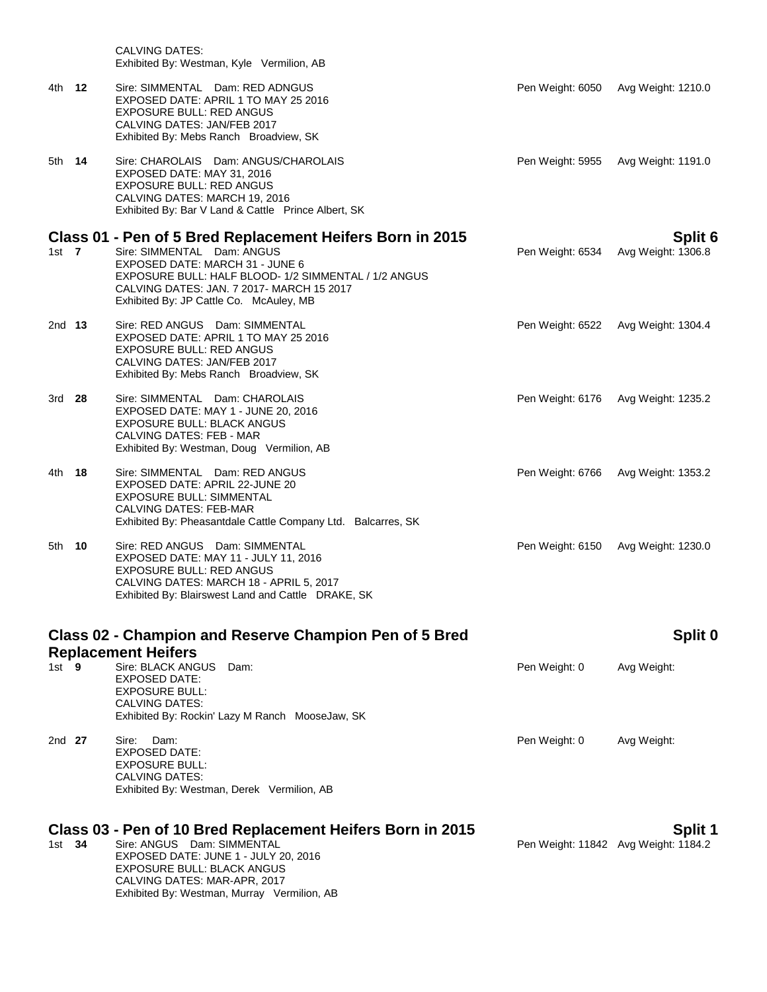|               |      | CALVING DATES:<br>Exhibited By: Westman, Kyle Vermilion, AB                                                                                                                                                                                                               |                  |                                                 |
|---------------|------|---------------------------------------------------------------------------------------------------------------------------------------------------------------------------------------------------------------------------------------------------------------------------|------------------|-------------------------------------------------|
| 4th <b>12</b> |      | Sire: SIMMENTAL Dam: RED ADNGUS<br>EXPOSED DATE: APRIL 1 TO MAY 25 2016<br>EXPOSURE BULL: RED ANGUS<br>CALVING DATES: JAN/FEB 2017<br>Exhibited By: Mebs Ranch Broadview, SK                                                                                              | Pen Weight: 6050 | Avg Weight: 1210.0                              |
| 5th <b>14</b> |      | Sire: CHAROLAIS Dam: ANGUS/CHAROLAIS<br>EXPOSED DATE: MAY 31, 2016<br><b>EXPOSURE BULL: RED ANGUS</b><br>CALVING DATES: MARCH 19, 2016<br>Exhibited By: Bar V Land & Cattle Prince Albert, SK                                                                             | Pen Weight: 5955 | Avg Weight: 1191.0                              |
| 1st $7$       |      | Class 01 - Pen of 5 Bred Replacement Heifers Born in 2015<br>Sire: SIMMENTAL Dam: ANGUS<br>EXPOSED DATE: MARCH 31 - JUNE 6<br>EXPOSURE BULL: HALF BLOOD-1/2 SIMMENTAL / 1/2 ANGUS<br>CALVING DATES: JAN. 7 2017- MARCH 15 2017<br>Exhibited By: JP Cattle Co. McAuley, MB | Pen Weight: 6534 | Split 6<br>Avg Weight: 1306.8                   |
| 2nd $13$      |      | Sire: RED ANGUS Dam: SIMMENTAL<br>EXPOSED DATE: APRIL 1 TO MAY 25 2016<br><b>EXPOSURE BULL: RED ANGUS</b><br>CALVING DATES: JAN/FEB 2017<br>Exhibited By: Mebs Ranch Broadview, SK                                                                                        | Pen Weight: 6522 | Avg Weight: 1304.4                              |
| 3rd 28        |      | Sire: SIMMENTAL Dam: CHAROLAIS<br>EXPOSED DATE: MAY 1 - JUNE 20, 2016<br>EXPOSURE BULL: BLACK ANGUS<br>CALVING DATES: FEB - MAR<br>Exhibited By: Westman, Doug Vermilion, AB                                                                                              | Pen Weight: 6176 | Avg Weight: 1235.2                              |
| 4th.          | - 18 | Sire: SIMMENTAL Dam: RED ANGUS<br>EXPOSED DATE: APRIL 22-JUNE 20<br>EXPOSURE BULL: SIMMENTAL<br>CALVING DATES: FEB-MAR<br>Exhibited By: Pheasantdale Cattle Company Ltd. Balcarres, SK                                                                                    | Pen Weight: 6766 | Avg Weight: 1353.2                              |
| 5th.          | 10   | Sire: RED ANGUS Dam: SIMMENTAL<br>EXPOSED DATE: MAY 11 - JULY 11, 2016<br><b>EXPOSURE BULL: RED ANGUS</b><br>CALVING DATES: MARCH 18 - APRIL 5, 2017<br>Exhibited By: Blairswest Land and Cattle DRAKE, SK                                                                | Pen Weight: 6150 | Avg Weight: 1230.0                              |
|               |      | Class 02 - Champion and Reserve Champion Pen of 5 Bred                                                                                                                                                                                                                    |                  | Split 0                                         |
| $1st$ 9       |      | <b>Replacement Heifers</b><br>Sire: BLACK ANGUS<br>Dam:<br>EXPOSED DATE:<br><b>EXPOSURE BULL:</b><br>CALVING DATES:<br>Exhibited By: Rockin' Lazy M Ranch MooseJaw, SK                                                                                                    | Pen Weight: 0    | Avg Weight:                                     |
| 2nd 27        |      | Sire:<br>Dam:<br>EXPOSED DATE:<br><b>EXPOSURE BULL:</b><br>CALVING DATES:<br>Exhibited By: Westman, Derek Vermilion, AB                                                                                                                                                   | Pen Weight: 0    | Avg Weight:                                     |
| 1st l         | 34   | Class 03 - Pen of 10 Bred Replacement Heifers Born in 2015<br>Sire: ANGUS Dam: SIMMENTAL<br>EXPOSED DATE: JUNE 1 - JULY 20, 2016<br><b>EXPOSURE BULL: BLACK ANGUS</b><br>CALVING DATES: MAR-APR, 2017                                                                     |                  | Split 1<br>Pen Weight: 11842 Avg Weight: 1184.2 |

Exhibited By: Westman, Murray Vermilion, AB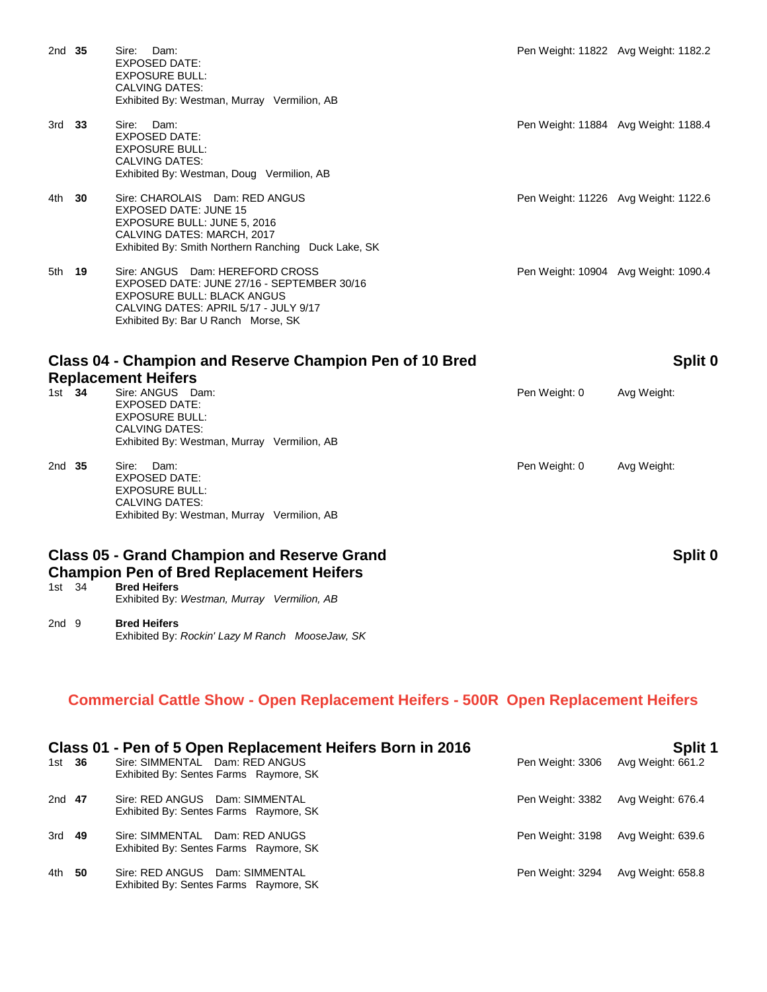|          |    | Class 04 - Champion and Reserve Champion Pen of 10 Bred<br><b>Replacement Heifers</b>                                                                                                       | Split 0                              |
|----------|----|---------------------------------------------------------------------------------------------------------------------------------------------------------------------------------------------|--------------------------------------|
| 5th      | 19 | Sire: ANGUS Dam: HEREFORD CROSS<br>EXPOSED DATE: JUNE 27/16 - SEPTEMBER 30/16<br>EXPOSURE BULL: BLACK ANGUS<br>CALVING DATES: APRIL 5/17 - JULY 9/17<br>Exhibited By: Bar U Ranch Morse, SK | Pen Weight: 10904 Avg Weight: 1090.4 |
| 4th      | 30 | Sire: CHAROLAIS Dam: RED ANGUS<br>EXPOSED DATE: JUNE 15<br>EXPOSURE BULL: JUNE 5, 2016<br>CALVING DATES: MARCH, 2017<br>Exhibited By: Smith Northern Ranching Duck Lake, SK                 | Pen Weight: 11226 Avg Weight: 1122.6 |
| 3rd 33   |    | Sire: Dam:<br><b>EXPOSED DATE:</b><br><b>EXPOSURE BULL:</b><br>CALVING DATES:<br>Exhibited By: Westman, Doug Vermilion, AB                                                                  | Pen Weight: 11884 Avg Weight: 1188.4 |
| 2nd $35$ |    | Sire:<br>Dam:<br>EXPOSED DATE:<br><b>EXPOSURE BULL:</b><br>CALVING DATES:<br>Exhibited By: Westman, Murray Vermilion, AB                                                                    | Pen Weight: 11822 Avg Weight: 1182.2 |

|          | <b>REPIRACEMENT FIGHERS</b> |                                                                                                                             |  |               |             |  |  |
|----------|-----------------------------|-----------------------------------------------------------------------------------------------------------------------------|--|---------------|-------------|--|--|
| 1st 34   |                             | Sire: ANGUS Dam:<br>EXPOSED DATE:<br><b>EXPOSURE BULL:</b><br>CALVING DATES:<br>Exhibited By: Westman, Murray Vermilion, AB |  | Pen Weight: 0 | Avg Weight: |  |  |
| 2nd $35$ |                             | Sire:<br>Dam:<br>EXPOSED DATE:<br><b>EXPOSURE BULL:</b><br>CALVING DATES:<br>Exhibited By: Westman, Murray Vermilion, AB    |  | Pen Weight: 0 | Avg Weight: |  |  |

**Split 0**

## **Class 05 - Grand Champion and Reserve Grand Champion Pen of Bred Replacement Heifers**

| 1st 34 | <b>Bred Heifers</b>                         |  |  |  |
|--------|---------------------------------------------|--|--|--|
|        | Exhibited By: Westman, Murray Vermilion, AB |  |  |  |

## 2nd 9 **Bred Heifers**

Exhibited By: *Rockin' Lazy M Ranch MooseJaw, SK*

## **Commercial Cattle Show - Open Replacement Heifers - 500R Open Replacement Heifers**

| Split 1<br>Class 01 - Pen of 5 Open Replacement Heifers Born in 2016 |  |                                                                          |                  |                   |  |
|----------------------------------------------------------------------|--|--------------------------------------------------------------------------|------------------|-------------------|--|
| 1st 36                                                               |  | Sire: SIMMENTAL Dam: RED ANGUS<br>Exhibited By: Sentes Farms Raymore, SK | Pen Weight: 3306 | Avg Weight: 661.2 |  |
| 2nd $47$                                                             |  | Sire: RED ANGUS Dam: SIMMENTAL<br>Exhibited By: Sentes Farms Raymore, SK | Pen Weight: 3382 | Avg Weight: 676.4 |  |
| 3rd <b>49</b>                                                        |  | Sire: SIMMENTAL Dam: RED ANUGS<br>Exhibited By: Sentes Farms Raymore, SK | Pen Weight: 3198 | Avg Weight: 639.6 |  |
| 4th 50                                                               |  | Sire: RED ANGUS Dam: SIMMENTAL<br>Exhibited By: Sentes Farms Raymore, SK | Pen Weight: 3294 | Avg Weight: 658.8 |  |